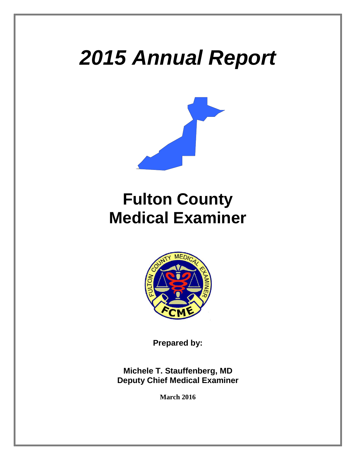# *2015 Annual Report*



# **Fulton County Medical Examiner**



**Prepared by:**

**Michele T. Stauffenberg, MD Deputy Chief Medical Examiner**

**March 2016**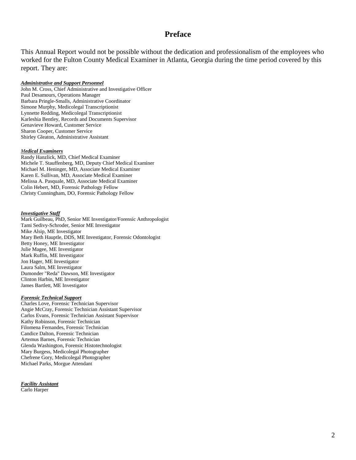#### **Preface**

This Annual Report would not be possible without the dedication and professionalism of the employees who worked for the Fulton County Medical Examiner in Atlanta, Georgia during the time period covered by this report. They are:

#### *Administrative and Support Personnel*

John M. Cross, Chief Administrative and Investigative Officer Paul Desamours, Operations Manager Barbara Pringle-Smalls, Administrative Coordinator Simone Murphy, Medicolegal Transcriptionist Lynnette Redding, Medicolegal Transcriptionist Karleshia Bentley, Records and Documents Supervisor Genavieve Howard, Customer Service Sharon Cooper, Customer Service Shirley Gleaton, Administrative Assistant

#### *Medical Examiners*

Randy Hanzlick, MD, Chief Medical Examiner Michele T. Stauffenberg, MD, Deputy Chief Medical Examiner Michael M. Heninger, MD, Associate Medical Examiner Karen E. Sullivan, MD, Associate Medical Examiner Melissa A. Pasquale, MD, Associate Medical Examiner Colin Hebert, MD, Forensic Pathology Fellow Christy Cunningham, DO, Forensic Pathology Fellow

#### *Investigative Staff*

Mark Guilbeau, PhD, Senior ME Investigator/Forensic Anthropologist Tami Sedivy-Schroder, Senior ME Investigator Mike Alsip, ME Investigator Mary Beth Hauptle, DDS, ME Investigator, Forensic Odontologist Betty Honey, ME Investigator Julie Magee, ME Investigator Mark Ruffin, ME Investigator Jon Hager, ME Investigator Laura Salm, ME Investigator Dumonder "Reda" Dawson, ME Investigator Clinton Harbin, ME Investigator James Bartlett, ME Investigator

#### *Forensic Technical Support*

Charles Love, Forensic Technician Supervisor Angie McCray, Forensic Technician Assistant Supervisor Carlos Evans, Forensic Technician Assistant Supervisor Kathy Robinson, Forensic Technician Filomena Fernandes, Forensic Technician Candice Dalton, Forensic Technician Artemus Barnes, Forensic Technician Glenda Washington, Forensic Histotechnologist Mary Burgess, Medicolegal Photographer Chefrene Gory, Medicolegal Photographer Michael Parks, Morgue Attendant

*Facility Assistant* Carlo Harper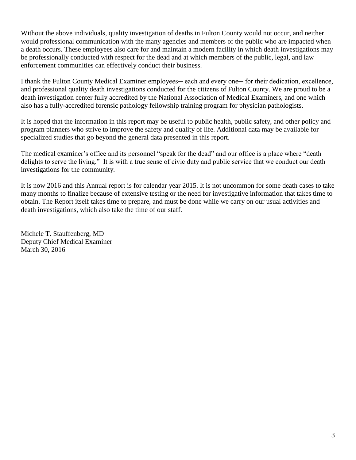Without the above individuals, quality investigation of deaths in Fulton County would not occur, and neither would professional communication with the many agencies and members of the public who are impacted when a death occurs. These employees also care for and maintain a modern facility in which death investigations may be professionally conducted with respect for the dead and at which members of the public, legal, and law enforcement communities can effectively conduct their business.

I thank the Fulton County Medical Examiner employees— each and every one— for their dedication, excellence, and professional quality death investigations conducted for the citizens of Fulton County. We are proud to be a death investigation center fully accredited by the National Association of Medical Examiners, and one which also has a fully-accredited forensic pathology fellowship training program for physician pathologists.

It is hoped that the information in this report may be useful to public health, public safety, and other policy and program planners who strive to improve the safety and quality of life. Additional data may be available for specialized studies that go beyond the general data presented in this report.

The medical examiner's office and its personnel "speak for the dead" and our office is a place where "death delights to serve the living." It is with a true sense of civic duty and public service that we conduct our death investigations for the community.

It is now 2016 and this Annual report is for calendar year 2015. It is not uncommon for some death cases to take many months to finalize because of extensive testing or the need for investigative information that takes time to obtain. The Report itself takes time to prepare, and must be done while we carry on our usual activities and death investigations, which also take the time of our staff.

Michele T. Stauffenberg, MD Deputy Chief Medical Examiner March 30, 2016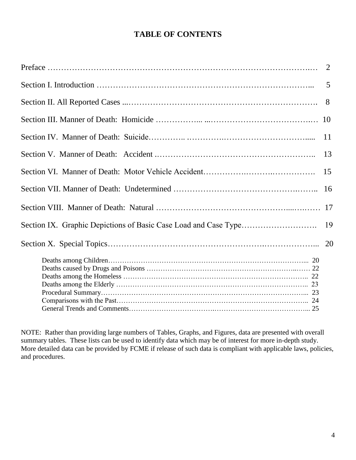# **TABLE OF CONTENTS**

| 2             |
|---------------|
| 5             |
| 8             |
| <sup>10</sup> |
| 11            |
| 13            |
| 15            |
| 16            |
|               |
| 19            |
|               |
|               |
|               |
|               |
|               |
|               |
|               |
|               |

NOTE: Rather than providing large numbers of Tables, Graphs, and Figures, data are presented with overall summary tables. These lists can be used to identify data which may be of interest for more in-depth study. More detailed data can be provided by FCME if release of such data is compliant with applicable laws, policies, and procedures.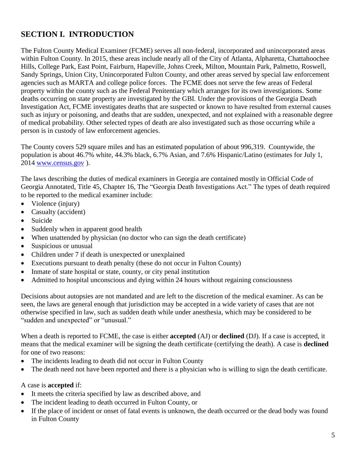# **SECTION I. INTRODUCTION**

The Fulton County Medical Examiner (FCME) serves all non-federal, incorporated and unincorporated areas within Fulton County. In 2015, these areas include nearly all of the City of Atlanta, Alpharetta, Chattahoochee Hills, College Park, East Point, Fairburn, Hapeville, Johns Creek, Milton, Mountain Park, Palmetto, Roswell, Sandy Springs, Union City, Unincorporated Fulton County, and other areas served by special law enforcement agencies such as MARTA and college police forces. The FCME does not serve the few areas of Federal property within the county such as the Federal Penitentiary which arranges for its own investigations. Some deaths occurring on state property are investigated by the GBI. Under the provisions of the Georgia Death Investigation Act, FCME investigates deaths that are suspected or known to have resulted from external causes such as injury or poisoning, and deaths that are sudden, unexpected, and not explained with a reasonable degree of medical probability. Other selected types of death are also investigated such as those occurring while a person is in custody of law enforcement agencies.

The County covers 529 square miles and has an estimated population of about 996,319. Countywide, the population is about 46.7% white, 44.3% black, 6.7% Asian, and 7.6% Hispanic/Latino (estimates for July 1, 2014 [www.census.gov](http://www.census.gov/) ).

The laws describing the duties of medical examiners in Georgia are contained mostly in Official Code of Georgia Annotated, Title 45, Chapter 16, The "Georgia Death Investigations Act." The types of death required to be reported to the medical examiner include:

- Violence (injury)
- Casualty (accident)
- Suicide
- Suddenly when in apparent good health
- When unattended by physician (no doctor who can sign the death certificate)
- Suspicious or unusual
- Children under 7 if death is unexpected or unexplained
- Executions pursuant to death penalty (these do not occur in Fulton County)
- Inmate of state hospital or state, county, or city penal institution
- Admitted to hospital unconscious and dying within 24 hours without regaining consciousness

Decisions about autopsies are not mandated and are left to the discretion of the medical examiner. As can be seen, the laws are general enough that jurisdiction may be accepted in a wide variety of cases that are not otherwise specified in law, such as sudden death while under anesthesia, which may be considered to be "sudden and unexpected" or "unusual."

When a death is reported to FCME, the case is either **accepted** (AJ) or **declined** (DJ). If a case is accepted, it means that the medical examiner will be signing the death certificate (certifying the death). A case is **declined**  for one of two reasons:

- The incidents leading to death did not occur in Fulton County
- The death need not have been reported and there is a physician who is willing to sign the death certificate.

#### A case is **accepted** if:

- It meets the criteria specified by law as described above, and
- The incident leading to death occurred in Fulton County, or
- If the place of incident or onset of fatal events is unknown, the death occurred or the dead body was found in Fulton County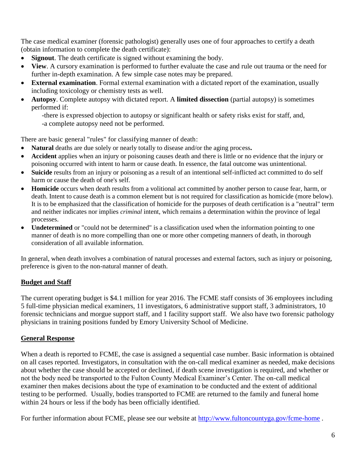The case medical examiner (forensic pathologist) generally uses one of four approaches to certify a death (obtain information to complete the death certificate):

- **Signout**. The death certificate is signed without examining the body.
- **View**. A cursory examination is performed to further evaluate the case and rule out trauma or the need for further in-depth examination. A few simple case notes may be prepared.
- **External examination**. Formal external examination with a dictated report of the examination, usually including toxicology or chemistry tests as well.
- **Autopsy**. Complete autopsy with dictated report. A **limited dissection** (partial autopsy) is sometimes performed if:

-there is expressed objection to autopsy or significant health or safety risks exist for staff, and,

-a complete autopsy need not be performed.

There are basic general "rules" for classifying manner of death:

- **Natural** deaths are due solely or nearly totally to disease and/or the aging process**.**
- **Accident** applies when an injury or poisoning causes death and there is little or no evidence that the injury or poisoning occurred with intent to harm or cause death. In essence, the fatal outcome was unintentional.
- **Suicide** results from an injury or poisoning as a result of an intentional self-inflicted act committed to do self harm or cause the death of one's self.
- **Homicide** occurs when death results from a volitional act committed by another person to cause fear, harm, or death. Intent to cause death is a common element but is not required for classification as homicide (more below). It is to be emphasized that the classification of homicide for the purposes of death certification is a "neutral" term and neither indicates nor implies *criminal* intent, which remains a determination within the province of legal processes.
- **Undetermined** or "could not be determined" is a classification used when the information pointing to one manner of death is no more compelling than one or more other competing manners of death, in thorough consideration of all available information.

In general, when death involves a combination of natural processes and external factors, such as injury or poisoning, preference is given to the non-natural manner of death.

## **Budget and Staff**

The current operating budget is \$4.1 million for year 2016. The FCME staff consists of 36 employees including 5 full-time physician medical examiners, 11 investigators, 6 administrative support staff, 3 administrators, 10 forensic technicians and morgue support staff, and 1 facility support staff. We also have two forensic pathology physicians in training positions funded by Emory University School of Medicine.

## **General Response**

When a death is reported to FCME, the case is assigned a sequential case number. Basic information is obtained on all cases reported. Investigators, in consultation with the on-call medical examiner as needed, make decisions about whether the case should be accepted or declined, if death scene investigation is required, and whether or not the body need be transported to the Fulton County Medical Examiner's Center. The on-call medical examiner then makes decisions about the type of examination to be conducted and the extent of additional testing to be performed. Usually, bodies transported to FCME are returned to the family and funeral home within 24 hours or less if the body has been officially identified.

For further information about FCME, please see our website at<http://www.fultoncountyga.gov/fcme-home>.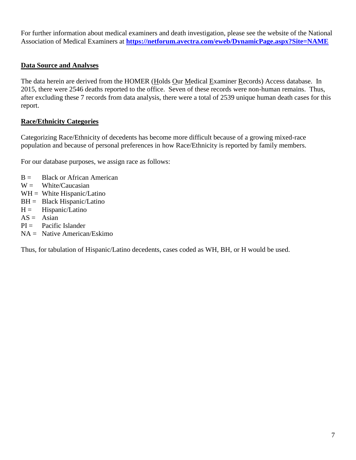For further information about medical examiners and death investigation, please see the website of the National Association of Medical Examiners at **<https://netforum.avectra.com/eweb/DynamicPage.aspx?Site=NAME>**

#### **Data Source and Analyses**

The data herein are derived from the HOMER (Holds Our Medical Examiner Records) Access database. In 2015, there were 2546 deaths reported to the office. Seven of these records were non-human remains. Thus, after excluding these 7 records from data analysis, there were a total of 2539 unique human death cases for this report.

#### **Race/Ethnicity Categories**

Categorizing Race/Ethnicity of decedents has become more difficult because of a growing mixed-race population and because of personal preferences in how Race/Ethnicity is reported by family members.

For our database purposes, we assign race as follows:

- $B =$  Black or African American
- $W =$  White/Caucasian
- $WH = White Hispanic/Latino$
- $BH = Black Hispanic/Latino$
- $H =$  Hispanic/Latino
- $AS = Asian$
- $PI =$  Pacific Islander
- NA = Native American/Eskimo

Thus, for tabulation of Hispanic/Latino decedents, cases coded as WH, BH, or H would be used.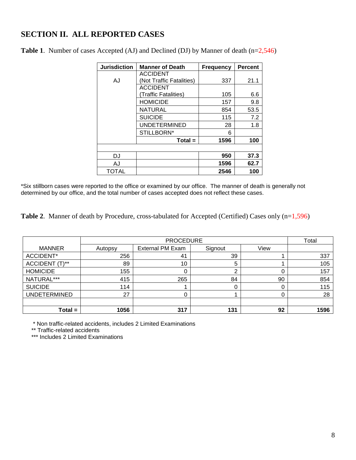# **SECTION II. ALL REPORTED CASES**

| <b>Jurisdiction</b> | <b>Manner of Death</b>   | <b>Frequency</b> | <b>Percent</b> |
|---------------------|--------------------------|------------------|----------------|
|                     | <b>ACCIDENT</b>          |                  |                |
| AJ                  | (Not Traffic Fatalities) | 337              | 21.1           |
|                     | <b>ACCIDENT</b>          |                  |                |
|                     | (Traffic Fatalities)     | 105              | 6.6            |
|                     | <b>HOMICIDE</b>          | 157              | 9.8            |
|                     | NATURAL                  | 854              | 53.5           |
|                     | <b>SUICIDE</b>           | 115              | 7.2            |
|                     | <b>UNDETERMINED</b>      | 28               | 1.8            |
|                     | STILLBORN*               | 6                |                |
|                     | $Total =$                | 1596             | 100            |
|                     |                          |                  |                |
| DJ                  |                          | 950              | 37.3           |
| AJ                  |                          | 1596             | 62.7           |
| TOTAL               |                          | 2546             | 100            |

**Table 1**. Number of cases Accepted (AJ) and Declined (DJ) by Manner of death (n=2,546)

\*Six stillborn cases were reported to the office or examined by our office. The manner of death is generally not determined by our office, and the total number of cases accepted does not reflect these cases.

Table 2. Manner of death by Procedure, cross-tabulated for Accepted (Certified) Cases only (n=1,596)

|                     |         | Total                   |         |      |      |
|---------------------|---------|-------------------------|---------|------|------|
| <b>MANNER</b>       | Autopsy | <b>External PM Exam</b> | Signout | View |      |
| ACCIDENT*           | 256     | 41                      | 39      |      | 337  |
| ACCIDENT (T)**      | 89      | 10                      | 5       |      | 105  |
| <b>HOMICIDE</b>     | 155     |                         |         |      | 157  |
| NATURAL***          | 415     | 265                     | 84      | 90   | 854  |
| <b>SUICIDE</b>      | 114     |                         |         |      | 115  |
| <b>UNDETERMINED</b> | 27      |                         |         |      | 28   |
|                     |         |                         |         |      |      |
| $Total =$           | 1056    | 317                     | 131     | 92   | 1596 |

\* Non traffic-related accidents, includes 2 Limited Examinations

\*\* Traffic-related accidents

\*\*\* Includes 2 Limited Examinations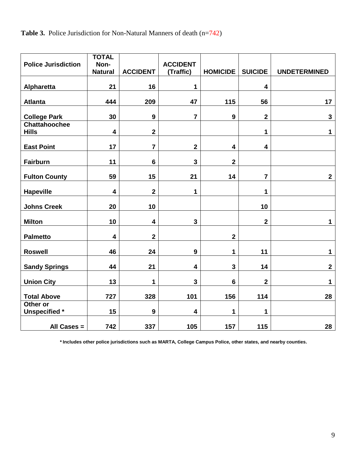**Table 3.** Police Jurisdiction for Non-Natural Manners of death (n=742)

| <b>Police Jurisdiction</b>           | <b>TOTAL</b><br>Non-    |                         | <b>ACCIDENT</b>         |                         |                         |                     |
|--------------------------------------|-------------------------|-------------------------|-------------------------|-------------------------|-------------------------|---------------------|
|                                      | <b>Natural</b>          | <b>ACCIDENT</b>         | (Traffic)               | <b>HOMICIDE</b>         | <b>SUICIDE</b>          | <b>UNDETERMINED</b> |
| Alpharetta                           | 21                      | 16                      | 1                       |                         | $\overline{\mathbf{4}}$ |                     |
| <b>Atlanta</b>                       | 444                     | 209                     | 47                      | 115                     | 56                      | 17                  |
| <b>College Park</b>                  | 30                      | $\boldsymbol{9}$        | $\overline{7}$          | 9                       | $\mathbf 2$             | $\mathbf{3}$        |
| <b>Chattahoochee</b><br><b>Hills</b> | $\overline{\mathbf{4}}$ | $\mathbf 2$             |                         |                         | 1                       | 1                   |
| <b>East Point</b>                    | 17                      | $\overline{7}$          | $\mathbf 2$             | $\overline{\mathbf{4}}$ | $\overline{\mathbf{4}}$ |                     |
| <b>Fairburn</b>                      | 11                      | $6\phantom{1}$          | $\mathbf{3}$            | $\mathbf 2$             |                         |                     |
| <b>Fulton County</b>                 | 59                      | 15                      | 21                      | 14                      | $\overline{7}$          | $\mathbf{2}$        |
| <b>Hapeville</b>                     | 4                       | $\overline{\mathbf{2}}$ | 1                       |                         | 1                       |                     |
| <b>Johns Creek</b>                   | 20                      | 10                      |                         |                         | 10                      |                     |
| <b>Milton</b>                        | 10                      | $\overline{\mathbf{4}}$ | 3                       |                         | $\overline{\mathbf{2}}$ | 1                   |
| <b>Palmetto</b>                      | 4                       | $\overline{2}$          |                         | $\overline{\mathbf{2}}$ |                         |                     |
| <b>Roswell</b>                       | 46                      | 24                      | 9                       | 1                       | 11                      | 1                   |
| <b>Sandy Springs</b>                 | 44                      | 21                      | 4                       | $\mathbf{3}$            | 14                      | $\mathbf{2}$        |
| <b>Union City</b>                    | 13                      | 1                       | 3                       | $6\phantom{1}6$         | $\mathbf 2$             | 1                   |
| <b>Total Above</b>                   | 727                     | 328                     | 101                     | 156                     | 114                     | 28                  |
| Other or<br><b>Unspecified</b> *     | 15                      | 9                       | $\overline{\mathbf{4}}$ | 1                       | 1                       |                     |
| All Cases =                          | 742                     | 337                     | 105                     | 157                     | 115                     | 28                  |

 **\* Includes other police jurisdictions such as MARTA, College Campus Police, other states, and nearby counties.**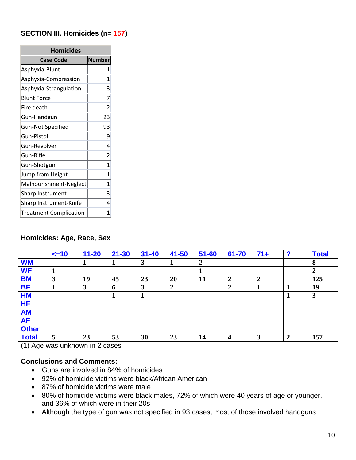### **SECTION III. Homicides (n= 157)**

| <b>Homicides</b>              |               |  |  |  |  |  |  |
|-------------------------------|---------------|--|--|--|--|--|--|
| <b>Case Code</b>              | <b>Number</b> |  |  |  |  |  |  |
| Asphyxia-Blunt                | 1             |  |  |  |  |  |  |
| Asphyxia-Compression          | 1             |  |  |  |  |  |  |
| Asphyxia-Strangulation        | 3             |  |  |  |  |  |  |
| <b>Blunt Force</b>            | 7             |  |  |  |  |  |  |
| Fire death                    | 2             |  |  |  |  |  |  |
| Gun-Handgun                   | 23            |  |  |  |  |  |  |
| <b>Gun-Not Specified</b>      | 93            |  |  |  |  |  |  |
| Gun-Pistol                    | 9             |  |  |  |  |  |  |
| Gun-Revolver                  | 4             |  |  |  |  |  |  |
| Gun-Rifle                     | 2             |  |  |  |  |  |  |
| Gun-Shotgun                   | 1             |  |  |  |  |  |  |
| Jump from Height              | 1             |  |  |  |  |  |  |
| Malnourishment-Neglect        | 1             |  |  |  |  |  |  |
| <b>Sharp Instrument</b>       | 3             |  |  |  |  |  |  |
| Sharp Instrument-Knife        | 4             |  |  |  |  |  |  |
| <b>Treatment Complication</b> | 1             |  |  |  |  |  |  |

### **Homicides: Age, Race, Sex**

|              | $\leq$ 10 | $11 - 20$ | $21 - 30$ | $31 - 40$ | 41-50            | $51 - 60$        | 61-70                   | $71+$          | ◠              | <b>Total</b> |
|--------------|-----------|-----------|-----------|-----------|------------------|------------------|-------------------------|----------------|----------------|--------------|
| <b>WM</b>    |           |           | 1         | 3         | л                | $\boldsymbol{2}$ |                         |                |                | 8            |
| <b>WF</b>    |           |           |           |           |                  |                  |                         |                |                | 2            |
| <b>BM</b>    | 3         | 19        | 45        | 23        | 20               | 11               | $\overline{2}$          | $\overline{2}$ |                | 125          |
| <b>BF</b>    |           | 3         | 6         | 3         | $\boldsymbol{2}$ |                  | $\overline{2}$          |                |                | 19           |
| <b>HM</b>    |           |           |           |           |                  |                  |                         |                |                | 3            |
| <b>HF</b>    |           |           |           |           |                  |                  |                         |                |                |              |
| <b>AM</b>    |           |           |           |           |                  |                  |                         |                |                |              |
| <b>AF</b>    |           |           |           |           |                  |                  |                         |                |                |              |
| <b>Other</b> |           |           |           |           |                  |                  |                         |                |                |              |
| <b>Total</b> | 5         | 23        | 53        | 30        | 23               | 14               | $\overline{\mathbf{4}}$ | 3              | $\overline{2}$ | 157          |

(1) Age was unknown in 2 cases

- Guns are involved in 84% of homicides
- 92% of homicide victims were black/African American
- 87% of homicide victims were male
- 80% of homicide victims were black males, 72% of which were 40 years of age or younger, and 36% of which were in their 20s
- Although the type of gun was not specified in 93 cases, most of those involved handguns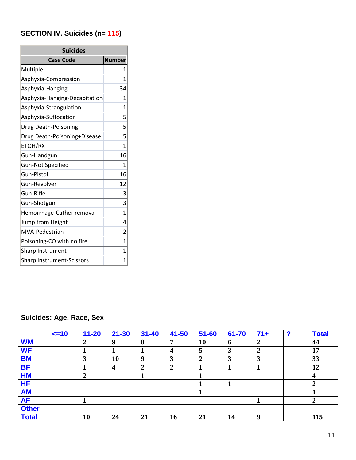# **SECTION IV. Suicides (n= 115)**

| <b>Suicides</b>                  |                |  |  |  |  |  |  |  |
|----------------------------------|----------------|--|--|--|--|--|--|--|
| <b>Case Code</b>                 | <b>Number</b>  |  |  |  |  |  |  |  |
| Multiple                         | 1              |  |  |  |  |  |  |  |
| Asphyxia-Compression             | 1              |  |  |  |  |  |  |  |
| Asphyxia-Hanging                 | 34             |  |  |  |  |  |  |  |
| Asphyxia-Hanging-Decapitation    | 1              |  |  |  |  |  |  |  |
| Asphyxia-Strangulation           | 1              |  |  |  |  |  |  |  |
| Asphyxia-Suffocation             | 5              |  |  |  |  |  |  |  |
| Drug Death-Poisoning             | 5              |  |  |  |  |  |  |  |
| Drug Death-Poisoning+Disease     | 5              |  |  |  |  |  |  |  |
| ETOH/RX                          | 1              |  |  |  |  |  |  |  |
| Gun-Handgun                      | 16             |  |  |  |  |  |  |  |
| <b>Gun-Not Specified</b>         | 1              |  |  |  |  |  |  |  |
| Gun-Pistol                       | 16             |  |  |  |  |  |  |  |
| Gun-Revolver                     | 12             |  |  |  |  |  |  |  |
| Gun-Rifle                        | 3              |  |  |  |  |  |  |  |
| Gun-Shotgun                      | 3              |  |  |  |  |  |  |  |
| Hemorrhage-Cather removal        | 1              |  |  |  |  |  |  |  |
| Jump from Height                 | 4              |  |  |  |  |  |  |  |
| MVA-Pedestrian                   | $\overline{2}$ |  |  |  |  |  |  |  |
| Poisoning-CO with no fire        | 1              |  |  |  |  |  |  |  |
| Sharp Instrument                 | 1              |  |  |  |  |  |  |  |
| <b>Sharp Instrument-Scissors</b> | 1              |  |  |  |  |  |  |  |

# **Suicides: Age, Race, Sex**

|              | $\leq$ =10 | $11 - 20$      | $21 - 30$               | $31 - 40$ | $41 - 50$        | $51 - 60$      | 61-70       | $71+$            | ◠ | <b>Total</b> |
|--------------|------------|----------------|-------------------------|-----------|------------------|----------------|-------------|------------------|---|--------------|
| <b>WM</b>    |            | 2              | 9                       | 8         | 7                | <b>10</b>      | $\mathbf b$ | $\boldsymbol{2}$ |   | 44           |
| <b>WF</b>    |            |                |                         |           | $\boldsymbol{4}$ | 5              | 3           | 2                |   | 17           |
| <b>BM</b>    |            | 3              | 10                      | <b>Q</b>  | 3                | $\overline{2}$ | 3           | 3                |   | 33           |
| <b>BF</b>    |            |                | $\overline{\mathbf{4}}$ | 2         | $\overline{2}$   |                |             |                  |   | 12           |
| <b>HM</b>    |            | $\overline{2}$ |                         |           |                  |                |             |                  |   |              |
| <b>HF</b>    |            |                |                         |           |                  |                |             |                  |   |              |
| <b>AM</b>    |            |                |                         |           |                  |                |             |                  |   |              |
| <b>AF</b>    |            |                |                         |           |                  |                |             |                  |   |              |
| <b>Other</b> |            |                |                         |           |                  |                |             |                  |   |              |
| <b>Total</b> |            | <b>10</b>      | 24                      | 21        | 16               | 21             | 14          | 9                |   | 115          |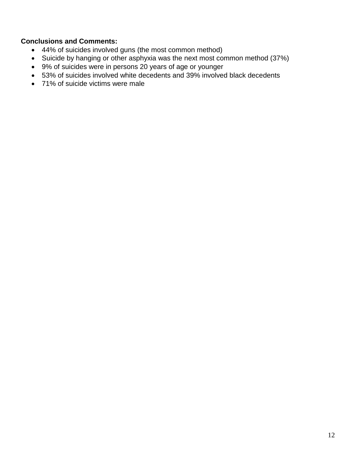- 44% of suicides involved guns (the most common method)
- Suicide by hanging or other asphyxia was the next most common method (37%)
- 9% of suicides were in persons 20 years of age or younger
- 53% of suicides involved white decedents and 39% involved black decedents
- 71% of suicide victims were male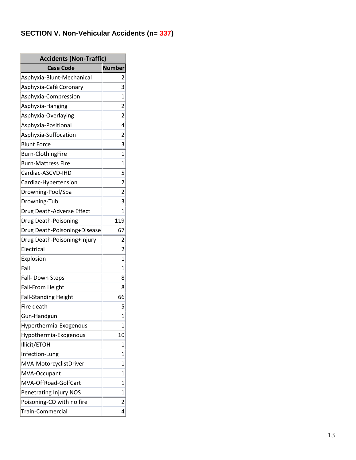#### SECTION V. Non-Vehicular Accidents (n= 337)

| <b>Accidents (Non-Traffic)</b> |                |  |  |  |  |  |  |
|--------------------------------|----------------|--|--|--|--|--|--|
| <b>Case Code</b>               | <b>Number</b>  |  |  |  |  |  |  |
| Asphyxia-Blunt-Mechanical      | 2              |  |  |  |  |  |  |
| Asphyxia-Café Coronary         | 3              |  |  |  |  |  |  |
| Asphyxia-Compression           | 1              |  |  |  |  |  |  |
| Asphyxia-Hanging               | 2              |  |  |  |  |  |  |
| Asphyxia-Overlaying            | 2              |  |  |  |  |  |  |
| Asphyxia-Positional            | 4              |  |  |  |  |  |  |
| Asphyxia-Suffocation           | 2              |  |  |  |  |  |  |
| <b>Blunt Force</b>             | 3              |  |  |  |  |  |  |
| <b>Burn-ClothingFire</b>       | $\mathbf{1}$   |  |  |  |  |  |  |
| <b>Burn-Mattress Fire</b>      | $\mathbf{1}$   |  |  |  |  |  |  |
| Cardiac-ASCVD-IHD              | 5              |  |  |  |  |  |  |
| Cardiac-Hypertension           | $\overline{2}$ |  |  |  |  |  |  |
| Drowning-Pool/Spa              | 2              |  |  |  |  |  |  |
| Drowning-Tub                   | 3              |  |  |  |  |  |  |
| Drug Death-Adverse Effect      | 1              |  |  |  |  |  |  |
| Drug Death-Poisoning           | 119            |  |  |  |  |  |  |
| Drug Death-Poisoning+Disease   | 67             |  |  |  |  |  |  |
| Drug Death-Poisoning+Injury    | $\mathbf{2}$   |  |  |  |  |  |  |
| Electrical                     | $\mathbf{2}$   |  |  |  |  |  |  |
| Explosion                      | 1              |  |  |  |  |  |  |
| Fall                           | 1              |  |  |  |  |  |  |
| Fall- Down Steps               | 8              |  |  |  |  |  |  |
| <b>Fall-From Height</b>        | 8              |  |  |  |  |  |  |
| <b>Fall-Standing Height</b>    | 66             |  |  |  |  |  |  |
| Fire death                     | 5              |  |  |  |  |  |  |
| Gun-Handgun                    | 1              |  |  |  |  |  |  |
| Hyperthermia-Exogenous         | 1              |  |  |  |  |  |  |
| Hypothermia-Exogenous          | 10             |  |  |  |  |  |  |
| Illicit/ETOH                   | 1              |  |  |  |  |  |  |
| Infection-Lung                 | 1              |  |  |  |  |  |  |
| MVA-MotorcyclistDriver         | 1              |  |  |  |  |  |  |
| MVA-Occupant                   | 1              |  |  |  |  |  |  |
| MVA-OffRoad-GolfCart           | 1              |  |  |  |  |  |  |
| Penetrating Injury NOS         | 1              |  |  |  |  |  |  |
| Poisoning-CO with no fire      | 2              |  |  |  |  |  |  |
| Train-Commercial               | 4              |  |  |  |  |  |  |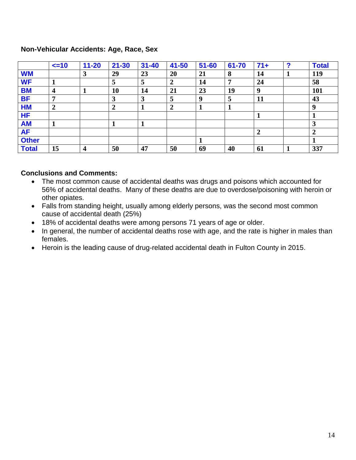#### **Non-Vehicular Accidents: Age, Race, Sex**

|              | $\leq$ -10              | $11 - 20$ | $21 - 30$ | $31 - 40$ | $41 - 50$      | $51 - 60$ | 61-70 | $71+$          | 2 | <b>Total</b> |
|--------------|-------------------------|-----------|-----------|-----------|----------------|-----------|-------|----------------|---|--------------|
| <b>WM</b>    |                         | 3         | 29        | 23        | 20             | 21        | 8     | 14             |   | 119          |
| <b>WF</b>    |                         |           | 5         | C         | $\overline{2}$ | 14        | 7     | 24             |   | 58           |
| <b>BM</b>    | $\overline{\mathbf{4}}$ |           | 10        | 14        | 21             | 23        | 19    | 9              |   | <b>101</b>   |
| <b>BF</b>    | 7                       |           | 3         | 3         | 5              | 9         | 5     | <b>11</b>      |   | 43           |
| <b>HM</b>    | $\overline{2}$          |           | 2         |           | $\overline{2}$ |           |       |                |   | -9           |
| <b>HF</b>    |                         |           |           |           |                |           |       |                |   |              |
| <b>AM</b>    |                         |           |           |           |                |           |       |                |   |              |
| <b>AF</b>    |                         |           |           |           |                |           |       | $\overline{2}$ |   |              |
| <b>Other</b> |                         |           |           |           |                |           |       |                |   |              |
| <b>Total</b> | 15                      | 4         | 50        | 47        | 50             | 69        | 40    | 61             |   | 337          |

- The most common cause of accidental deaths was drugs and poisons which accounted for 56% of accidental deaths. Many of these deaths are due to overdose/poisoning with heroin or other opiates.
- Falls from standing height, usually among elderly persons, was the second most common cause of accidental death (25%)
- 18% of accidental deaths were among persons 71 years of age or older.
- In general, the number of accidental deaths rose with age, and the rate is higher in males than females.
- Heroin is the leading cause of drug-related accidental death in Fulton County in 2015.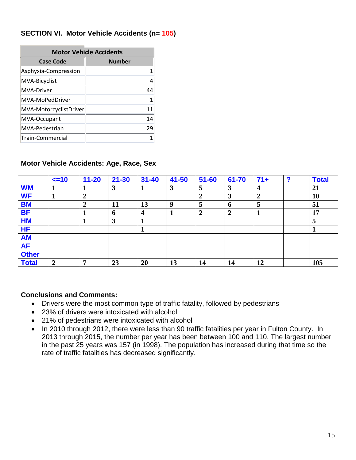### **SECTION VI. Motor Vehicle Accidents (n= 105)**

| <b>Motor Vehicle Accidents</b> |               |  |  |  |  |  |  |  |
|--------------------------------|---------------|--|--|--|--|--|--|--|
| <b>Case Code</b>               | <b>Number</b> |  |  |  |  |  |  |  |
| Asphyxia-Compression           |               |  |  |  |  |  |  |  |
| MVA-Bicyclist                  | 4             |  |  |  |  |  |  |  |
| <b>MVA-Driver</b>              | 44            |  |  |  |  |  |  |  |
| MVA-MoPedDriver                | 1             |  |  |  |  |  |  |  |
| MVA-MotorcyclistDriver         | 11            |  |  |  |  |  |  |  |
| MVA-Occupant                   | 14            |  |  |  |  |  |  |  |
| MVA-Pedestrian                 | 29            |  |  |  |  |  |  |  |
| Train-Commercial               |               |  |  |  |  |  |  |  |

#### **Motor Vehicle Accidents: Age, Race, Sex**

|              | $\leq$ =10     | $11 - 20$        | $21 - 30$ | $31 - 40$        | $41 - 50$        | $51 - 60$      | 61-70          | $71+$ | 2 | <b>Total</b> |
|--------------|----------------|------------------|-----------|------------------|------------------|----------------|----------------|-------|---|--------------|
| <b>WM</b>    |                |                  | 3         |                  | $\boldsymbol{3}$ | 5              | 3              | 4     |   | 21           |
| <b>WF</b>    |                | $\overline{2}$   |           |                  |                  | 2              | 3              | 2     |   | 10           |
| <b>BM</b>    |                | $\boldsymbol{2}$ | 11        | 13               | 9                | 5              | 6              | 5     |   | 51           |
| <b>BF</b>    |                |                  | 6         | $\boldsymbol{4}$ | 1                | $\overline{2}$ | $\overline{2}$ |       |   | 17           |
| <b>HM</b>    |                |                  | 3         |                  |                  |                |                |       |   |              |
| <b>HF</b>    |                |                  |           |                  |                  |                |                |       |   |              |
| <b>AM</b>    |                |                  |           |                  |                  |                |                |       |   |              |
| <b>AF</b>    |                |                  |           |                  |                  |                |                |       |   |              |
| <b>Other</b> |                |                  |           |                  |                  |                |                |       |   |              |
| <b>Total</b> | $\overline{2}$ | ៗ                | 23        | 20               | 13               | 14             | 14             | 12    |   | 105          |

- Drivers were the most common type of traffic fatality, followed by pedestrians
- 23% of drivers were intoxicated with alcohol
- 21% of pedestrians were intoxicated with alcohol
- In 2010 through 2012, there were less than 90 traffic fatalities per year in Fulton County. In 2013 through 2015, the number per year has been between 100 and 110. The largest number in the past 25 years was 157 (in 1998). The population has increased during that time so the rate of traffic fatalities has decreased significantly.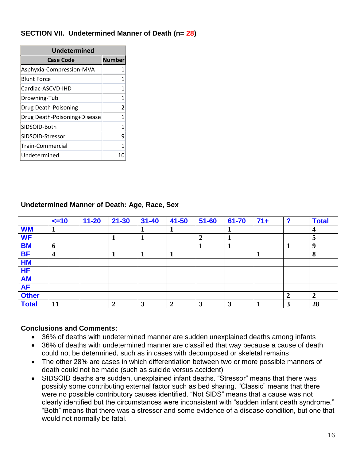### **SECTION VII. Undetermined Manner of Death (n= 28)**

| <b>Undetermined</b>          |               |  |  |  |  |  |
|------------------------------|---------------|--|--|--|--|--|
| <b>Case Code</b>             | <b>Number</b> |  |  |  |  |  |
| Asphyxia-Compression-MVA     | 1             |  |  |  |  |  |
| <b>Blunt Force</b>           | 1             |  |  |  |  |  |
| Cardiac-ASCVD-IHD            | 1             |  |  |  |  |  |
| Drowning-Tub                 | 1             |  |  |  |  |  |
| Drug Death-Poisoning         | 2             |  |  |  |  |  |
| Drug Death-Poisoning+Disease | 1             |  |  |  |  |  |
| SIDSOID-Both                 | $\mathbf{1}$  |  |  |  |  |  |
| SIDSOID-Stressor             | 9             |  |  |  |  |  |
| Train-Commercial             | 1             |  |  |  |  |  |
| Undetermined                 | 0             |  |  |  |  |  |

#### **Undetermined Manner of Death: Age, Race, Sex**

|              | $\leq$ 10               | $11 - 20$ | $21 - 30$        | $31 - 40$ | $41 - 50$      | $51 - 60$      | 61-70 | $71+$ | 2 | <b>Total</b> |
|--------------|-------------------------|-----------|------------------|-----------|----------------|----------------|-------|-------|---|--------------|
| <b>WM</b>    | T                       |           |                  |           |                |                |       |       |   |              |
| <b>WF</b>    |                         |           |                  |           |                | $\overline{2}$ |       |       |   | 5            |
| <b>BM</b>    | 6                       |           |                  |           |                |                |       |       |   | -9           |
| <b>BF</b>    | $\overline{\mathbf{4}}$ |           |                  |           |                |                |       |       |   | 8            |
| <b>HM</b>    |                         |           |                  |           |                |                |       |       |   |              |
| <b>HF</b>    |                         |           |                  |           |                |                |       |       |   |              |
| <b>AM</b>    |                         |           |                  |           |                |                |       |       |   |              |
| <b>AF</b>    |                         |           |                  |           |                |                |       |       |   |              |
| <b>Other</b> |                         |           |                  |           |                |                |       |       |   |              |
| <b>Total</b> | 11                      |           | $\boldsymbol{2}$ | 3         | $\overline{2}$ | 3              | 3     |       | 3 | 28           |

- 36% of deaths with undetermined manner are sudden unexplained deaths among infants
- 36% of deaths with undetermined manner are classified that way because a cause of death could not be determined, such as in cases with decomposed or skeletal remains
- The other 28% are cases in which differentiation between two or more possible manners of death could not be made (such as suicide versus accident)
- SIDSOID deaths are sudden, unexplained infant deaths. "Stressor" means that there was possibly some contributing external factor such as bed sharing. "Classic" means that there were no possible contributory causes identified. "Not SIDS" means that a cause was not clearly identified but the circumstances were inconsistent with "sudden infant death syndrome." "Both" means that there was a stressor and some evidence of a disease condition, but one that would not normally be fatal.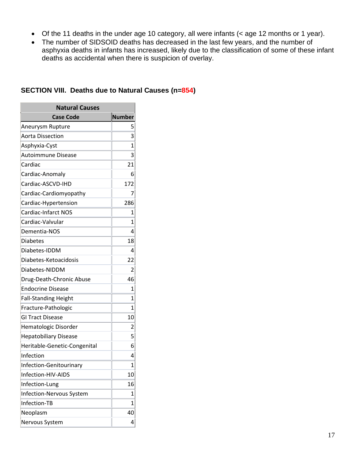- Of the 11 deaths in the under age 10 category, all were infants (< age 12 months or 1 year).
- The number of SIDSOID deaths has decreased in the last few years, and the number of asphyxia deaths in infants has increased, likely due to the classification of some of these infant deaths as accidental when there is suspicion of overlay.

| <b>Natural Causes</b>        |               |  |  |  |  |
|------------------------------|---------------|--|--|--|--|
| <b>Case Code</b>             | <b>Number</b> |  |  |  |  |
| Aneurysm Rupture             | 5             |  |  |  |  |
| <b>Aorta Dissection</b>      | 3             |  |  |  |  |
| Asphyxia-Cyst                | 1             |  |  |  |  |
| <b>Autoimmune Disease</b>    | 3             |  |  |  |  |
| Cardiac                      | 21            |  |  |  |  |
| Cardiac-Anomaly              | 6             |  |  |  |  |
| Cardiac-ASCVD-IHD            | 172           |  |  |  |  |
| Cardiac-Cardiomyopathy       | 7             |  |  |  |  |
| Cardiac-Hypertension         | 286           |  |  |  |  |
| <b>Cardiac-Infarct NOS</b>   | 1             |  |  |  |  |
| Cardiac-Valvular             | 1             |  |  |  |  |
| Dementia-NOS                 | 4             |  |  |  |  |
| Diabetes                     | 18            |  |  |  |  |
| Diabetes-IDDM                | 4             |  |  |  |  |
| Diabetes-Ketoacidosis        | 22            |  |  |  |  |
| Diabetes-NIDDM               | 2             |  |  |  |  |
| Drug-Death-Chronic Abuse     | 46            |  |  |  |  |
| <b>Endocrine Disease</b>     | 1             |  |  |  |  |
| <b>Fall-Standing Height</b>  | 1             |  |  |  |  |
| Fracture-Pathologic          | 1             |  |  |  |  |
| <b>GI Tract Disease</b>      | 10            |  |  |  |  |
| Hematologic Disorder         | 2             |  |  |  |  |
| <b>Hepatobiliary Disease</b> | 5             |  |  |  |  |
| Heritable-Genetic-Congenital | 6             |  |  |  |  |
| Infection                    | 4             |  |  |  |  |
| Infection-Genitourinary      | $\mathbf 1$   |  |  |  |  |
| Infection-HIV-AIDS           | 10            |  |  |  |  |
| Infection-Lung               | 16            |  |  |  |  |
| Infection-Nervous System     | 1             |  |  |  |  |
| Infection-TB                 | 1             |  |  |  |  |
| Neoplasm                     | 40            |  |  |  |  |
| Nervous System               | 4             |  |  |  |  |

#### **SECTION VIII. Deaths due to Natural Causes (n=854)**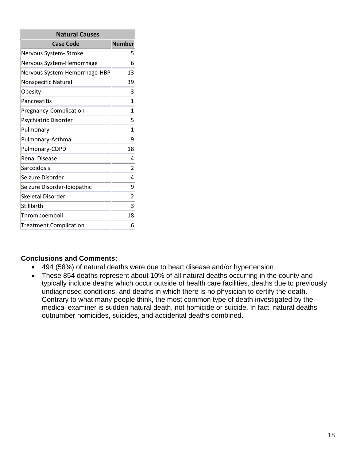| <b>Natural Causes</b>         |        |  |  |  |  |
|-------------------------------|--------|--|--|--|--|
| <b>Case Code</b>              | Number |  |  |  |  |
| Nervous System-Stroke         | 5      |  |  |  |  |
| Nervous System-Hemorrhage     | 6      |  |  |  |  |
| Nervous System-Hemorrhage-HBP | 13     |  |  |  |  |
| Nonspecific Natural           | 39     |  |  |  |  |
| Obesity                       | 3      |  |  |  |  |
| Pancreatitis                  | 1      |  |  |  |  |
| Pregnancy-Complication        | 1      |  |  |  |  |
| Psychiatric Disorder          | 5      |  |  |  |  |
| Pulmonary                     | 1      |  |  |  |  |
| Pulmonary-Asthma              | ٩      |  |  |  |  |
| Pulmonary-COPD                | 18     |  |  |  |  |
| <b>Renal Disease</b>          | 4      |  |  |  |  |
| Sarcoidosis                   | 2      |  |  |  |  |
| Seizure Disorder              | 4      |  |  |  |  |
| Seizure Disorder-Idiopathic   | 9      |  |  |  |  |
| Skeletal Disorder             | 2      |  |  |  |  |
| Stillbirth                    | 3      |  |  |  |  |
| Thromboemboli                 | 18     |  |  |  |  |
| <b>Treatment Complication</b> | 6      |  |  |  |  |

- 494 (58%) of natural deaths were due to heart disease and/or hypertension
- These 854 deaths represent about 10% of all natural deaths occurring in the county and typically include deaths which occur outside of health care facilities, deaths due to previously undiagnosed conditions, and deaths in which there is no physician to certify the death. Contrary to what many people think, the most common type of death investigated by the medical examiner is sudden natural death, not homicide or suicide. In fact, natural deaths outnumber homicides, suicides, and accidental deaths combined.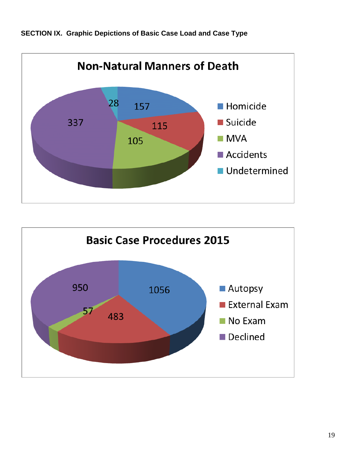



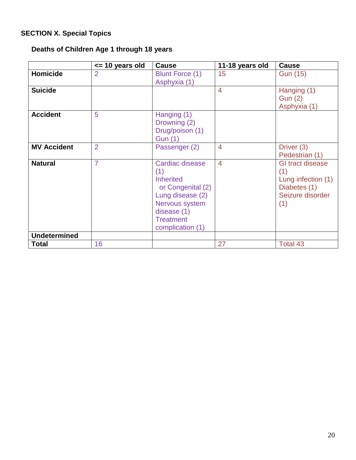# **SECTION X. Special Topics**

# **Deaths of Children Age 1 through 18 years**

|                     | $\le$ 10 years old | Cause                                                                                                                                                        | 11-18 years old | <b>Cause</b>                                                                                    |
|---------------------|--------------------|--------------------------------------------------------------------------------------------------------------------------------------------------------------|-----------------|-------------------------------------------------------------------------------------------------|
| <b>Homicide</b>     | $\overline{2}$     | Blunt Force (1)<br>Asphyxia (1)                                                                                                                              | 15              | <b>Gun (15)</b>                                                                                 |
| <b>Suicide</b>      |                    |                                                                                                                                                              | $\overline{4}$  | Hanging (1)<br><b>Gun (2)</b><br>Asphyxia (1)                                                   |
| <b>Accident</b>     | 5                  | Hanging (1)<br>Drowning (2)<br>Drug/poison (1)<br><b>Gun (1)</b>                                                                                             |                 |                                                                                                 |
| <b>MV Accident</b>  | $\overline{2}$     | Passenger (2)                                                                                                                                                | $\overline{4}$  | Driver (3)<br>Pedestrian (1)                                                                    |
| <b>Natural</b>      | $\overline{7}$     | Cardiac disease<br>(1)<br><b>Inherited</b><br>or Congenital (2)<br>Lung disease (2)<br>Nervous system<br>disease (1)<br><b>Treatment</b><br>complication (1) | $\overline{4}$  | <b>GI tract disease</b><br>(1)<br>Lung infection (1)<br>Diabetes (1)<br>Seizure disorder<br>(1) |
| <b>Undetermined</b> |                    |                                                                                                                                                              |                 |                                                                                                 |
| <b>Total</b>        | 16                 |                                                                                                                                                              | 27              | Total 43                                                                                        |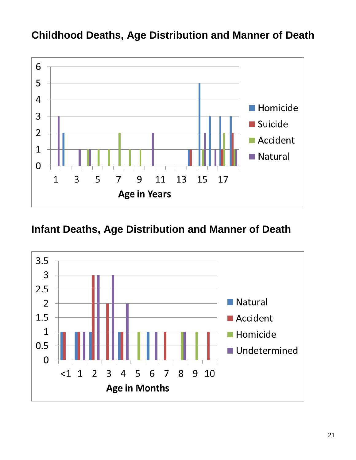

# **Childhood Deaths, Age Distribution and Manner of Death**

**Infant Deaths, Age Distribution and Manner of Death**

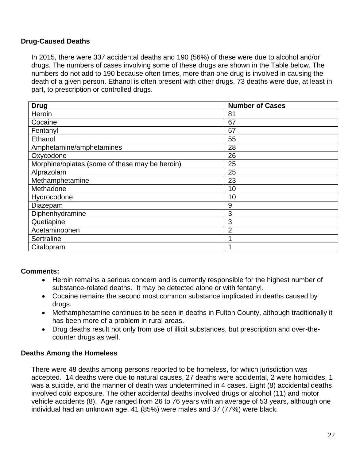#### **Drug-Caused Deaths**

In 2015, there were 337 accidental deaths and 190 (56%) of these were due to alcohol and/or drugs. The numbers of cases involving some of these drugs are shown in the Table below. The numbers do not add to 190 because often times, more than one drug is involved in causing the death of a given person. Ethanol is often present with other drugs. 73 deaths were due, at least in part, to prescription or controlled drugs.

| <b>Drug</b>                                    | <b>Number of Cases</b> |
|------------------------------------------------|------------------------|
| Heroin                                         | 81                     |
| Cocaine                                        | 67                     |
| Fentanyl                                       | 57                     |
| Ethanol                                        | 55                     |
| Amphetamine/amphetamines                       | 28                     |
| Oxycodone                                      | 26                     |
| Morphine/opiates (some of these may be heroin) | 25                     |
| Alprazolam                                     | 25                     |
| Methamphetamine                                | 23                     |
| Methadone                                      | 10                     |
| Hydrocodone                                    | 10                     |
| Diazepam                                       | 9                      |
| Diphenhydramine                                | 3                      |
| Quetiapine                                     | 3                      |
| Acetaminophen                                  | $\overline{2}$         |
| Sertraline                                     |                        |
| Citalopram                                     |                        |

#### **Comments:**

- Heroin remains a serious concern and is currently responsible for the highest number of substance-related deaths. It may be detected alone or with fentanyl.
- Cocaine remains the second most common substance implicated in deaths caused by drugs.
- Methamphetamine continues to be seen in deaths in Fulton County, although traditionally it has been more of a problem in rural areas.
- Drug deaths result not only from use of illicit substances, but prescription and over-thecounter drugs as well.

#### **Deaths Among the Homeless**

There were 48 deaths among persons reported to be homeless, for which jurisdiction was accepted. 14 deaths were due to natural causes, 27 deaths were accidental, 2 were homicides, 1 was a suicide, and the manner of death was undetermined in 4 cases. Eight (8) accidental deaths involved cold exposure. The other accidental deaths involved drugs or alcohol (11) and motor vehicle accidents (8). Age ranged from 26 to 76 years with an average of 53 years, although one individual had an unknown age. 41 (85%) were males and 37 (77%) were black.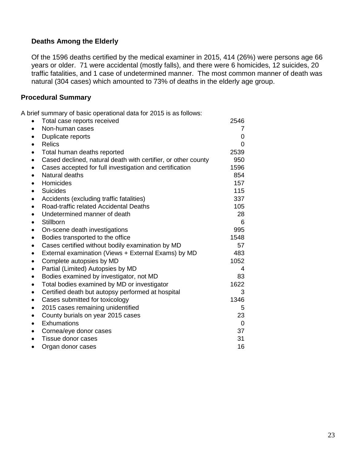#### **Deaths Among the Elderly**

Of the 1596 deaths certified by the medical examiner in 2015, 414 (26%) were persons age 66 years or older. 71 were accidental (mostly falls), and there were 6 homicides, 12 suicides, 20 traffic fatalities, and 1 case of undetermined manner. The most common manner of death was natural (304 cases) which amounted to 73% of deaths in the elderly age group.

#### **Procedural Summary**

A brief summary of basic operational data for 2015 is as follows:

|           | Total case reports received                                   | 2546     |  |
|-----------|---------------------------------------------------------------|----------|--|
| $\bullet$ | Non-human cases                                               | 7        |  |
|           | Duplicate reports                                             | 0        |  |
| $\bullet$ | <b>Relics</b>                                                 | 0        |  |
| $\bullet$ | Total human deaths reported                                   | 2539     |  |
| $\bullet$ | Cased declined, natural death with certifier, or other county | 950      |  |
| $\bullet$ | Cases accepted for full investigation and certification       | 1596     |  |
| $\bullet$ | Natural deaths                                                | 854      |  |
| $\bullet$ | Homicides                                                     | 157      |  |
| $\bullet$ | <b>Suicides</b>                                               | 115      |  |
| ٠         | Accidents (excluding traffic fatalities)                      | 337      |  |
| $\bullet$ | Road-traffic related Accidental Deaths                        | 105      |  |
| $\bullet$ | Undetermined manner of death                                  | 28       |  |
| $\bullet$ | Stillborn                                                     | 6        |  |
| $\bullet$ | On-scene death investigations                                 | 995      |  |
| $\bullet$ | Bodies transported to the office                              | 1548     |  |
| $\bullet$ | Cases certified without bodily examination by MD              | 57       |  |
| $\bullet$ | External examination (Views + External Exams) by MD           | 483      |  |
| $\bullet$ | Complete autopsies by MD                                      | 1052     |  |
| $\bullet$ | Partial (Limited) Autopsies by MD                             | 4        |  |
| $\bullet$ | Bodies examined by investigator, not MD                       | 83       |  |
| ٠         | Total bodies examined by MD or investigator                   | 1622     |  |
| $\bullet$ | Certified death but autopsy performed at hospital             | 3        |  |
| $\bullet$ | Cases submitted for toxicology                                | 1346     |  |
| $\bullet$ | 2015 cases remaining unidentified                             | 5        |  |
| $\bullet$ | County burials on year 2015 cases                             | 23       |  |
| $\bullet$ | Exhumations                                                   | $\Omega$ |  |
| $\bullet$ | Cornea/eye donor cases                                        | 37       |  |
| $\bullet$ | Tissue donor cases                                            | 31       |  |
|           | Organ donor cases                                             | 16       |  |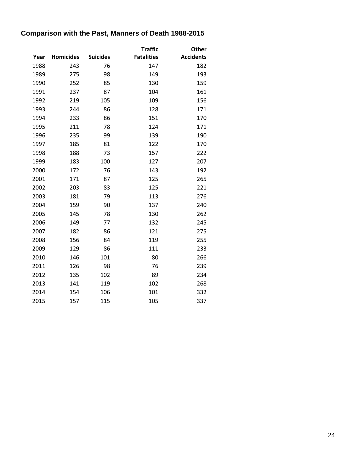# **Comparison with the Past, Manners of Death 1988-2015**

|      |                  |                 | <b>Traffic</b>    | Other            |
|------|------------------|-----------------|-------------------|------------------|
| Year | <b>Homicides</b> | <b>Suicides</b> | <b>Fatalities</b> | <b>Accidents</b> |
| 1988 | 243              | 76              | 147               | 182              |
| 1989 | 275              | 98              | 149               | 193              |
| 1990 | 252              | 85              | 130               | 159              |
| 1991 | 237              | 87              | 104               | 161              |
| 1992 | 219              | 105             | 109               | 156              |
| 1993 | 244              | 86              | 128               | 171              |
| 1994 | 233              | 86              | 151               | 170              |
| 1995 | 211              | 78              | 124               | 171              |
| 1996 | 235              | 99              | 139               | 190              |
| 1997 | 185              | 81              | 122               | 170              |
| 1998 | 188              | 73              | 157               | 222              |
| 1999 | 183              | 100             | 127               | 207              |
| 2000 | 172              | 76              | 143               | 192              |
| 2001 | 171              | 87              | 125               | 265              |
| 2002 | 203              | 83              | 125               | 221              |
| 2003 | 181              | 79              | 113               | 276              |
| 2004 | 159              | 90              | 137               | 240              |
| 2005 | 145              | 78              | 130               | 262              |
| 2006 | 149              | 77              | 132               | 245              |
| 2007 | 182              | 86              | 121               | 275              |
| 2008 | 156              | 84              | 119               | 255              |
| 2009 | 129              | 86              | 111               | 233              |
| 2010 | 146              | 101             | 80                | 266              |
| 2011 | 126              | 98              | 76                | 239              |
| 2012 | 135              | 102             | 89                | 234              |
| 2013 | 141              | 119             | 102               | 268              |
| 2014 | 154              | 106             | 101               | 332              |
| 2015 | 157              | 115             | 105               | 337              |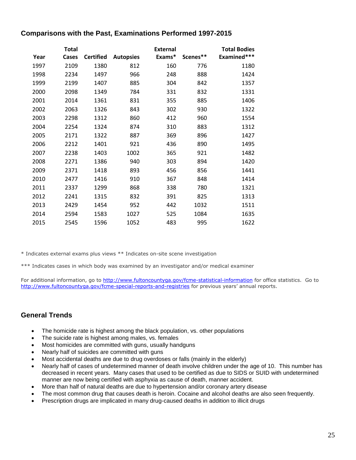#### **Comparisons with the Past, Examinations Performed 1997-2015**

|      | Total |                  |                  | <b>External</b> |          | <b>Total Bodies</b> |
|------|-------|------------------|------------------|-----------------|----------|---------------------|
| Year | Cases | <b>Certified</b> | <b>Autopsies</b> | Exams*          | Scenes** | Examined***         |
| 1997 | 2109  | 1380             | 812              | 160             | 776      | 1180                |
| 1998 | 2234  | 1497             | 966              | 248             | 888      | 1424                |
| 1999 | 2199  | 1407             | 885              | 304             | 842      | 1357                |
| 2000 | 2098  | 1349             | 784              | 331             | 832      | 1331                |
| 2001 | 2014  | 1361             | 831              | 355             | 885      | 1406                |
| 2002 | 2063  | 1326             | 843              | 302             | 930      | 1322                |
| 2003 | 2298  | 1312             | 860              | 412             | 960      | 1554                |
| 2004 | 2254  | 1324             | 874              | 310             | 883      | 1312                |
| 2005 | 2171  | 1322             | 887              | 369             | 896      | 1427                |
| 2006 | 2212  | 1401             | 921              | 436             | 890      | 1495                |
| 2007 | 2238  | 1403             | 1002             | 365             | 921      | 1482                |
| 2008 | 2271  | 1386             | 940              | 303             | 894      | 1420                |
| 2009 | 2371  | 1418             | 893              | 456             | 856      | 1441                |
| 2010 | 2477  | 1416             | 910              | 367             | 848      | 1414                |
| 2011 | 2337  | 1299             | 868              | 338             | 780      | 1321                |
| 2012 | 2241  | 1315             | 832              | 391             | 825      | 1313                |
| 2013 | 2429  | 1454             | 952              | 442             | 1032     | 1511                |
| 2014 | 2594  | 1583             | 1027             | 525             | 1084     | 1635                |
| 2015 | 2545  | 1596             | 1052             | 483             | 995      | 1622                |

\* Indicates external exams plus views \*\* Indicates on-site scene investigation

\*\*\* Indicates cases in which body was examined by an investigator and/or medical examiner

For additional information, go to<http://www.fultoncountyga.gov/fcme-statistical-information> for office statistics. Go to <http://www.fultoncountyga.gov/fcme-special-reports-and-registries> for previous years' annual reports.

#### **General Trends**

- The homicide rate is highest among the black population, vs. other populations
- The suicide rate is highest among males, vs. females
- Most homicides are committed with guns, usually handguns
- Nearly half of suicides are committed with guns
- Most accidental deaths are due to drug overdoses or falls (mainly in the elderly)
- Nearly half of cases of undetermined manner of death involve children under the age of 10. This number has decreased in recent years. Many cases that used to be certified as due to SIDS or SUID with undetermined manner are now being certified with asphyxia as cause of death, manner accident.
- More than half of natural deaths are due to hypertension and/or coronary artery disease
- The most common drug that causes death is heroin. Cocaine and alcohol deaths are also seen frequently.
- Prescription drugs are implicated in many drug-caused deaths in addition to illicit drugs